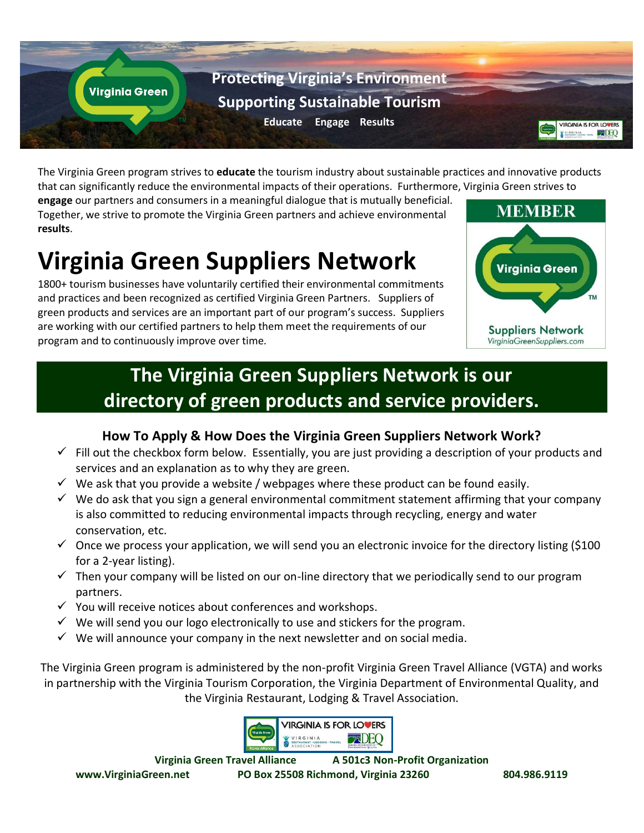

The Virginia Green program strives to **educate** the tourism industry about sustainable practices and innovative products that can significantly reduce the environmental impacts of their operations. Furthermore, Virginia Green strives to

**engage** our partners and consumers in a meaningful dialogue that is mutually beneficial. Together, we strive to promote the Virginia Green partners and achieve environmental **results**.

# **Virginia Green Suppliers Network**

1800+ tourism businesses have voluntarily certified their environmental commitments and practices and been recognized as certified Virginia Green Partners. Suppliers of green products and services are an important part of our program's success. Suppliers are working with our certified partners to help them meet the requirements of our program and to continuously improve over time.



## **The Virginia Green Suppliers Network is our directory of green products and service providers.**

#### **How To Apply & How Does the Virginia Green Suppliers Network Work?**

- $\checkmark$  Fill out the checkbox form below. Essentially, you are just providing a description of your products and services and an explanation as to why they are green.
- $\checkmark$  We ask that you provide a website / webpages where these product can be found easily.
- $\checkmark$  We do ask that you sign a general environmental commitment statement affirming that your company is also committed to reducing environmental impacts through recycling, energy and water conservation, etc.
- $\checkmark$  Once we process your application, we will send you an electronic invoice for the directory listing (\$100 for a 2-year listing).
- $\checkmark$  Then your company will be listed on our on-line directory that we periodically send to our program partners.
- $\checkmark$  You will receive notices about conferences and workshops.
- $\checkmark$  We will send you our logo electronically to use and stickers for the program.
- $\checkmark$  We will announce your company in the next newsletter and on social media.

The Virginia Green program is administered by the non-profit Virginia Green Travel Alliance (VGTA) and works in partnership with the Virginia Tourism Corporation, the Virginia Department of Environmental Quality, and the Virginia Restaurant, Lodging & Travel Association.



**Virginia Green Travel Alliance A 501c3 Non-Profit Organization www.VirginiaGreen.net PO Box 25508 Richmond, Virginia 23260 804.986.9119**